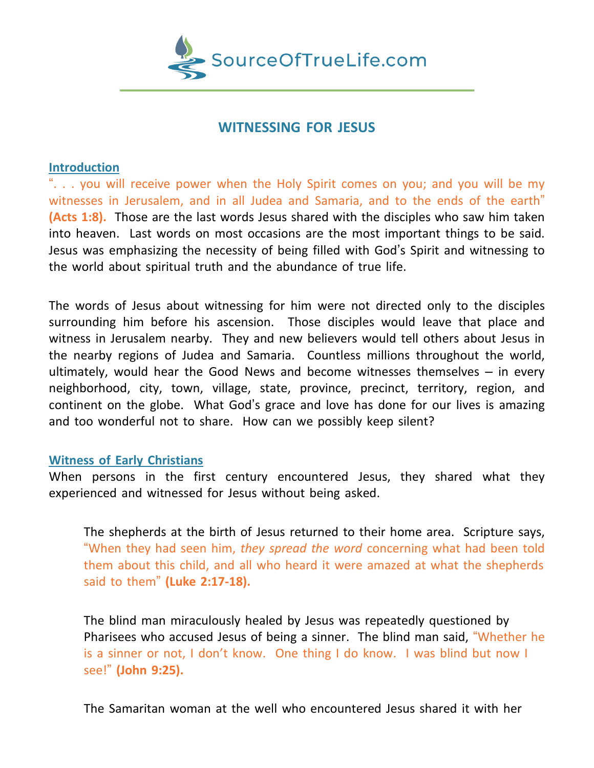

# **WITNESSING FOR JESUS**

## **Introduction**

". . . you will receive power when the Holy Spirit comes on you; and you will be my witnesses in Jerusalem, and in all Judea and Samaria, and to the ends of the earth" **(Acts 1:8).** Those are the last words Jesus shared with the disciples who saw him taken into heaven. Last words on most occasions are the most important things to be said. Jesus was emphasizing the necessity of being filled with God's Spirit and witnessing to the world about spiritual truth and the abundance of true life.

The words of Jesus about witnessing for him were not directed only to the disciples surrounding him before his ascension. Those disciples would leave that place and witness in Jerusalem nearby. They and new believers would tell others about Jesus in the nearby regions of Judea and Samaria. Countless millions throughout the world, ultimately, would hear the Good News and become witnesses themselves – in every neighborhood, city, town, village, state, province, precinct, territory, region, and continent on the globe. What God's grace and love has done for our lives is amazing and too wonderful not to share. How can we possibly keep silent?

## **Witness of Early Christians**

When persons in the first century encountered Jesus, they shared what they experienced and witnessed for Jesus without being asked.

The shepherds at the birth of Jesus returned to their home area. Scripture says, "When they had seen him, *they spread the word* concerning what had been told them about this child, and all who heard it were amazed at what the shepherds said to them" **(Luke 2:17-18).**

The blind man miraculously healed by Jesus was repeatedly questioned by Pharisees who accused Jesus of being a sinner. The blind man said, "Whether he is a sinner or not, I don't know. One thing I do know. I was blind but now I see!" **(John 9:25).**

The Samaritan woman at the well who encountered Jesus shared it with her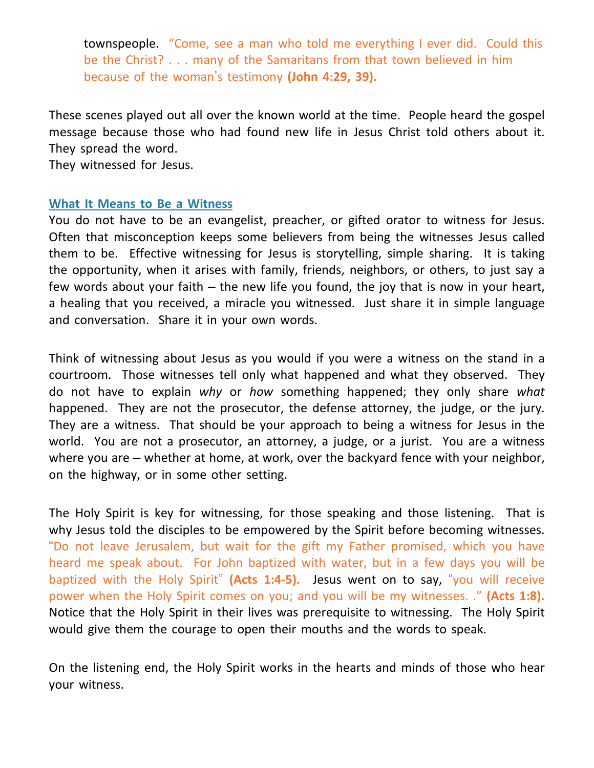townspeople. "Come, see a man who told me everything I ever did. Could this be the Christ? . . . many of the Samaritans from that town believed in him because of the woman's testimony **(John 4:29, 39).**

These scenes played out all over the known world at the time. People heard the gospel message because those who had found new life in Jesus Christ told others about it. They spread the word.

They witnessed for Jesus.

## **What It Means to Be a Witness**

You do not have to be an evangelist, preacher, or gifted orator to witness for Jesus. Often that misconception keeps some believers from being the witnesses Jesus called them to be. Effective witnessing for Jesus is storytelling, simple sharing. It is taking the opportunity, when it arises with family, friends, neighbors, or others, to just say a few words about your faith – the new life you found, the joy that is now in your heart, a healing that you received, a miracle you witnessed. Just share it in simple language and conversation. Share it in your own words.

Think of witnessing about Jesus as you would if you were a witness on the stand in a courtroom. Those witnesses tell only what happened and what they observed. They do not have to explain *why* or *how* something happened; they only share *what* happened. They are not the prosecutor, the defense attorney, the judge, or the jury. They are a witness. That should be your approach to being a witness for Jesus in the world. You are not a prosecutor, an attorney, a judge, or a jurist. You are a witness where you are – whether at home, at work, over the backyard fence with your neighbor, on the highway, or in some other setting.

The Holy Spirit is key for witnessing, for those speaking and those listening. That is why Jesus told the disciples to be empowered by the Spirit before becoming witnesses. "Do not leave Jerusalem, but wait for the gift my Father promised, which you have heard me speak about. For John baptized with water, but in a few days you will be baptized with the Holy Spirit" **(Acts 1:4-5).** Jesus went on to say, "you will receive power when the Holy Spirit comes on you; and you will be my witnesses. ." **(Acts 1:8).** Notice that the Holy Spirit in their lives was prerequisite to witnessing. The Holy Spirit would give them the courage to open their mouths and the words to speak.

On the listening end, the Holy Spirit works in the hearts and minds of those who hear your witness.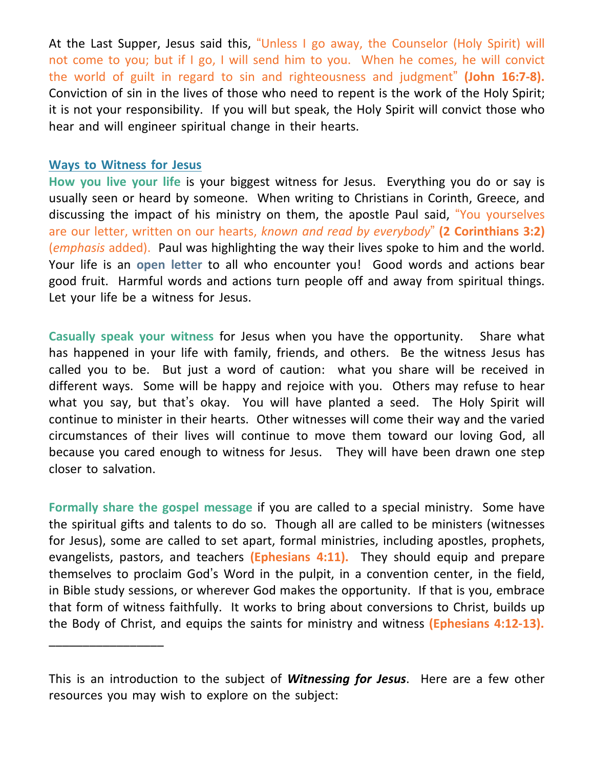At the Last Supper, Jesus said this, "Unless I go away, the Counselor (Holy Spirit) will not come to you; but if I go, I will send him to you. When he comes, he will convict the world of guilt in regard to sin and righteousness and judgment" **(John 16:7-8).** Conviction of sin in the lives of those who need to repent is the work of the Holy Spirit; it is not your responsibility. If you will but speak, the Holy Spirit will convict those who hear and will engineer spiritual change in their hearts.

### **Ways to Witness for Jesus**

\_\_\_\_\_\_\_\_\_\_\_\_\_\_\_\_\_

**How you live your life** is your biggest witness for Jesus. Everything you do or say is usually seen or heard by someone. When writing to Christians in Corinth, Greece, and discussing the impact of his ministry on them, the apostle Paul said, "You yourselves are our letter, written on our hearts, *known and read by everybody*" **(2 Corinthians 3:2)** (*emphasis* added). Paul was highlighting the way their lives spoke to him and the world. Your life is an **open letter** to all who encounter you! Good words and actions bear good fruit. Harmful words and actions turn people off and away from spiritual things. Let your life be a witness for Jesus.

**Casually speak your witness** for Jesus when you have the opportunity. Share what has happened in your life with family, friends, and others. Be the witness Jesus has called you to be. But just a word of caution: what you share will be received in different ways. Some will be happy and rejoice with you. Others may refuse to hear what you say, but that's okay. You will have planted a seed. The Holy Spirit will continue to minister in their hearts. Other witnesses will come their way and the varied circumstances of their lives will continue to move them toward our loving God, all because you cared enough to witness for Jesus. They will have been drawn one step closer to salvation.

**Formally share the gospel message** if you are called to a special ministry. Some have the spiritual gifts and talents to do so. Though all are called to be ministers (witnesses for Jesus), some are called to set apart, formal ministries, including apostles, prophets, evangelists, pastors, and teachers **(Ephesians 4:11).** They should equip and prepare themselves to proclaim God's Word in the pulpit, in a convention center, in the field, in Bible study sessions, or wherever God makes the opportunity. If that is you, embrace that form of witness faithfully. It works to bring about conversions to Christ, builds up the Body of Christ, and equips the saints for ministry and witness **(Ephesians 4:12-13).**

This is an introduction to the subject of *Witnessing for Jesus*. Here are a few other resources you may wish to explore on the subject: